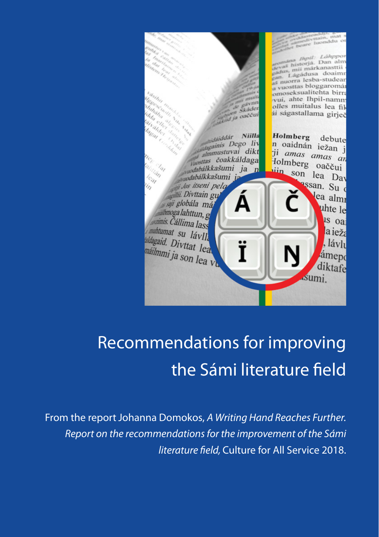

# Recommendations for improving the Sámi literature field

From the report Johanna Domokos, A Writing Hand Reaches Further. *Report on the recommendations for the improvement of the Sámi literature field,* Culture for All Service 2018.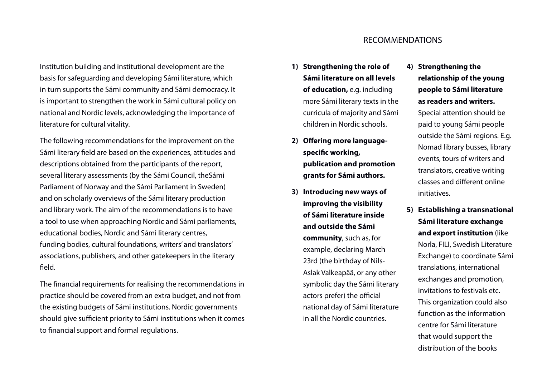## Institution building and institutional development are the basis for safeguarding and developing Sámi literature, which in turn supports the Sámi community and Sámi democracy. It is important to strengthen the work in Sámi cultural policy on national and Nordic levels, acknowledging the importance of literature for cultural vitality.

The following recommendations for the improvement on the Sámi literary field are based on the experiences, attitudes and descriptions obtained from the participants of the report, several literary assessments (by the Sámi Council, theSámi Parliament of Norway and the Sámi Parliament in Sweden) and on scholarly overviews of the Sámi literary production and library work. The aim of the recommendations is to have a tool to use when approaching Nordic and Sámi parliaments, educational bodies, Nordic and Sámi literary centres, funding bodies, cultural foundations, writers' and translators' associations, publishers, and other gatekeepers in the literary field.

The financial requirements for realising the recommendations in practice should be covered from an extra budget, and not from the existing budgets of Sámi institutions. Nordic governments should give sufficient priority to Sámi institutions when it comes to financial support and formal regulations.

#### RECOMMENDATIONS

- **1) Strengthening the role of Sámi literature on all levels of education,** e.g. including more Sámi literary texts in the curricula of majority and Sámi children in Nordic schools.
- **2) Offering more languagespecific working, publication and promotion grants for Sámi authors.**
- **3) Introducing new ways of improving the visibility of Sámi literature inside and outside the Sámi community**, such as, for example, declaring March 23rd (the birthday of Nils-Aslak Valkeapää, or any other symbolic day the Sámi literary actors prefer) the official national day of Sámi literature in all the Nordic countries.
- **4) Strengthening the relationship of the young people to Sámi literature as readers and writers.** Special attention should be paid to young Sámi people outside the Sámi regions. E.g. Nomad library busses, library events, tours of writers and translators, creative writing classes and different online initiatives.
- **5) Establishing a transnational Sámi literature exchange and export institution** (like Norla, FILI, Swedish Literature Exchange) to coordinate Sámi translations, international exchanges and promotion, invitations to festivals etc. This organization could also function as the information centre for Sámi literature that would support the distribution of the books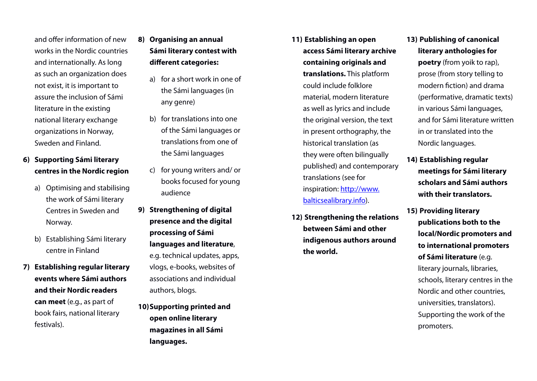and offer information of new works in the Nordic countries and internationally. As long as such an organization does not exist, it is important to assure the inclusion of Sámi literature in the existing national literary exchange organizations in Norway, Sweden and Finland.

### **6) Supporting Sámi literary centres in the Nordic region**

- a) Optimising and stabilising the work of Sámi literary Centres in Sweden and Norway.
- b) Establishing Sámi literary centre in Finland
- **7) Establishing regular literary events where Sámi authors and their Nordic readers can meet** (e.g., as part of book fairs, national literary festivals).
- **8) Organising an annual Sámi literary contest with different categories:** 
	- a) for a short work in one of the Sámi languages (in any genre)
	- b) for translations into one of the Sámi languages or translations from one of the Sámi languages
	- c) for young writers and/ or books focused for young audience
- **9) Strengthening of digital presence and the digital processing of Sámi languages and literature**, e.g. technical updates, apps, vlogs, e-books, websites of associations and individual authors, blogs.

**10)Supporting printed and open online literary magazines in all Sámi languages.**

- **11) Establishing an open access Sámi literary archive containing originals and translations.** This platform could include folklore material, modern literature as well as lyrics and include the original version, the text in present orthography, the historical translation (as they were often bilingually published) and contemporary translations (see for inspiration: http://www. balticsealibrary.info).
- **12) Strengthening the relations between Sámi and other indigenous authors around the world.**

### **13) Publishing of canonical literary anthologies for**

**poetry** (from yoik to rap), prose (from story telling to modern fiction) and drama (performative, dramatic texts) in various Sámi languages, and for Sámi literature written in or translated into the Nordic languages.

- **14) Establishing regular meetings for Sámi literary scholars and Sámi authors with their translators.**
- **15) Providing literary publications both to the local/Nordic promoters and to international promoters of Sámi literature** (e.g. literary journals, libraries, schools, literary centres in the Nordic and other countries, universities, translators). Supporting the work of the promoters.